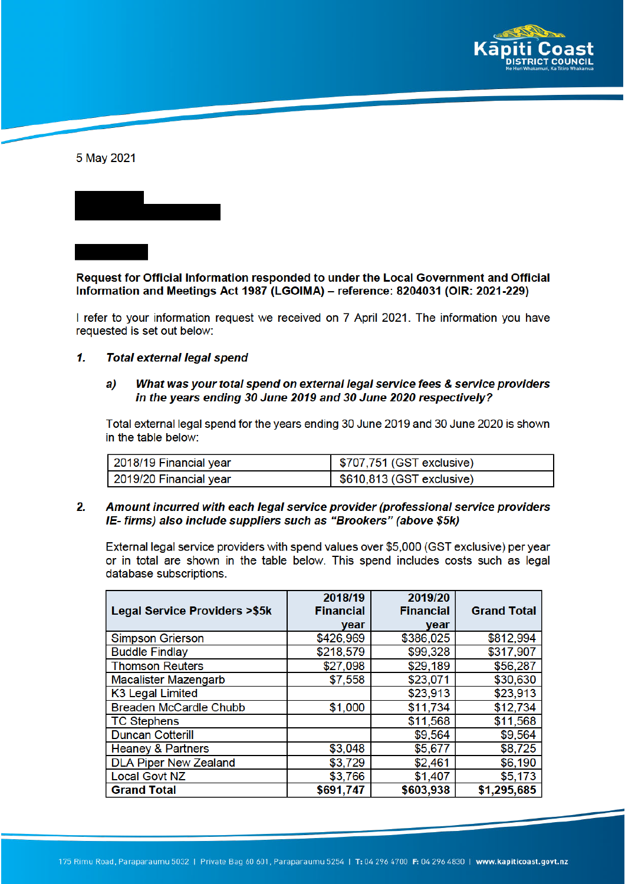

5 May 2021

Request for Official Information responded to under the Local Government and Official Information and Meetings Act 1987 (LGOIMA) - reference: 8204031 (OIR: 2021-229)

I refer to your information request we received on 7 April 2021. The information you have requested is set out below:

#### $\mathbf{1}$ **Total external legal spend**

#### What was your total spend on external legal service fees & service providers  $a)$ in the years ending 30 June 2019 and 30 June 2020 respectively?

Total external legal spend for the years ending 30 June 2019 and 30 June 2020 is shown in the table below:

| 2018/19 Financial year | \$707,751 (GST exclusive) |
|------------------------|---------------------------|
| 2019/20 Financial year | \$610,813 (GST exclusive) |

#### $2.$ Amount incurred with each legal service provider (professional service providers IE- firms) also include suppliers such as "Brookers" (above \$5k)

External legal service providers with spend values over \$5,000 (GST exclusive) per year or in total are shown in the table below. This spend includes costs such as legal database subscriptions.

|                                         | 2018/19          | 2019/20          |                    |
|-----------------------------------------|------------------|------------------|--------------------|
| <b>Legal Service Providers &gt;\$5k</b> | <b>Financial</b> | <b>Financial</b> | <b>Grand Total</b> |
|                                         | vear             | year             |                    |
| <b>Simpson Grierson</b>                 | \$426,969        | \$386,025        | \$812,994          |
| <b>Buddle Findlay</b>                   | \$218,579        | \$99,328         | \$317,907          |
| <b>Thomson Reuters</b>                  | \$27,098         | \$29,189         | \$56,287           |
| <b>Macalister Mazengarb</b>             | \$7,558          | \$23,071         | \$30,630           |
| K3 Legal Limited                        |                  | \$23,913         | \$23,913           |
| <b>Breaden McCardle Chubb</b>           | \$1,000          | \$11,734         | \$12,734           |
| <b>TC Stephens</b>                      |                  | \$11,568         | \$11,568           |
| <b>Duncan Cotterill</b>                 |                  | \$9,564          | \$9,564            |
| <b>Heaney &amp; Partners</b>            | \$3,048          | \$5,677          | \$8,725            |
| <b>DLA Piper New Zealand</b>            | \$3,729          | \$2,461          | \$6,190            |
| <b>Local Govt NZ</b>                    | \$3,766          | \$1,407          | \$5,173            |
| <b>Grand Total</b>                      | \$691,747        | \$603,938        | \$1,295,685        |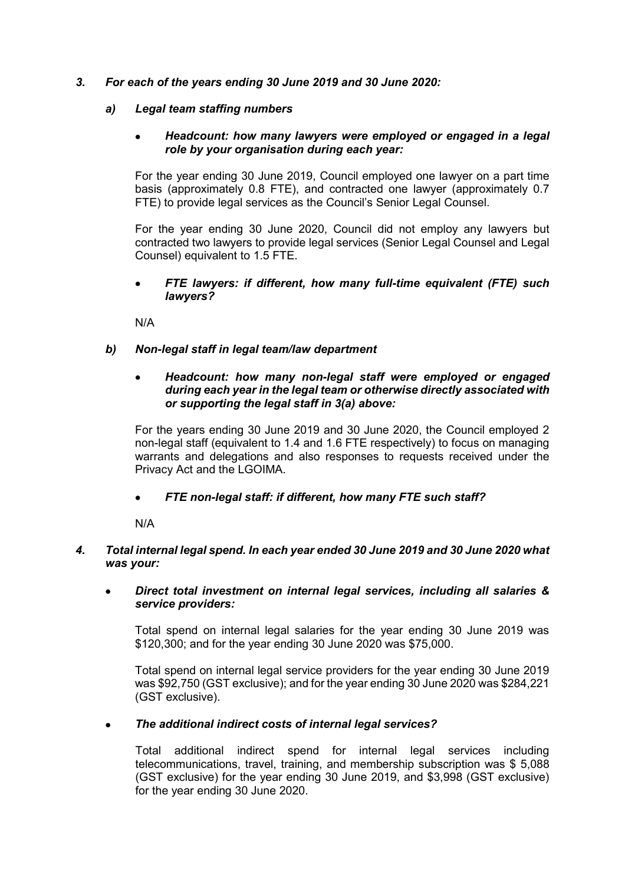# *3. For each of the years ending 30 June 2019 and 30 June 2020:*

#### *a) Legal team staffing numbers*

# • *Headcount: how many lawyers were employed or engaged in a legal role by your organisation during each year:*

For the year ending 30 June 2019, Council employed one lawyer on a part time basis (approximately 0.8 FTE), and contracted one lawyer (approximately 0.7 FTE) to provide legal services as the Council's Senior Legal Counsel.

For the year ending 30 June 2020, Council did not employ any lawyers but contracted two lawyers to provide legal services (Senior Legal Counsel and Legal Counsel) equivalent to 1.5 FTE.

# • *FTE lawyers: if different, how many full-time equivalent (FTE) such lawyers?*

N/A

# *b) Non-legal staff in legal team/law department*

# • *Headcount: how many non-legal staff were employed or engaged during each year in the legal team or otherwise directly associated with or supporting the legal staff in 3(a) above:*

For the years ending 30 June 2019 and 30 June 2020, the Council employed 2 non-legal staff (equivalent to 1.4 and 1.6 FTE respectively) to focus on managing warrants and delegations and also responses to requests received under the Privacy Act and the LGOIMA.

# • *FTE non-legal staff: if different, how many FTE such staff?*

N/A

# *4. Total internal legal spend. In each year ended 30 June 2019 and 30 June 2020 what was your:*

# • *Direct total investment on internal legal services, including all salaries & service providers:*

Total spend on internal legal salaries for the year ending 30 June 2019 was \$120,300; and for the year ending 30 June 2020 was \$75,000.

Total spend on internal legal service providers for the year ending 30 June 2019 was \$92,750 (GST exclusive); and for the year ending 30 June 2020 was \$284,221 (GST exclusive).

# • *The additional indirect costs of internal legal services?*

Total additional indirect spend for internal legal services including telecommunications, travel, training, and membership subscription was \$ 5,088 (GST exclusive) for the year ending 30 June 2019, and \$3,998 (GST exclusive) for the year ending 30 June 2020.